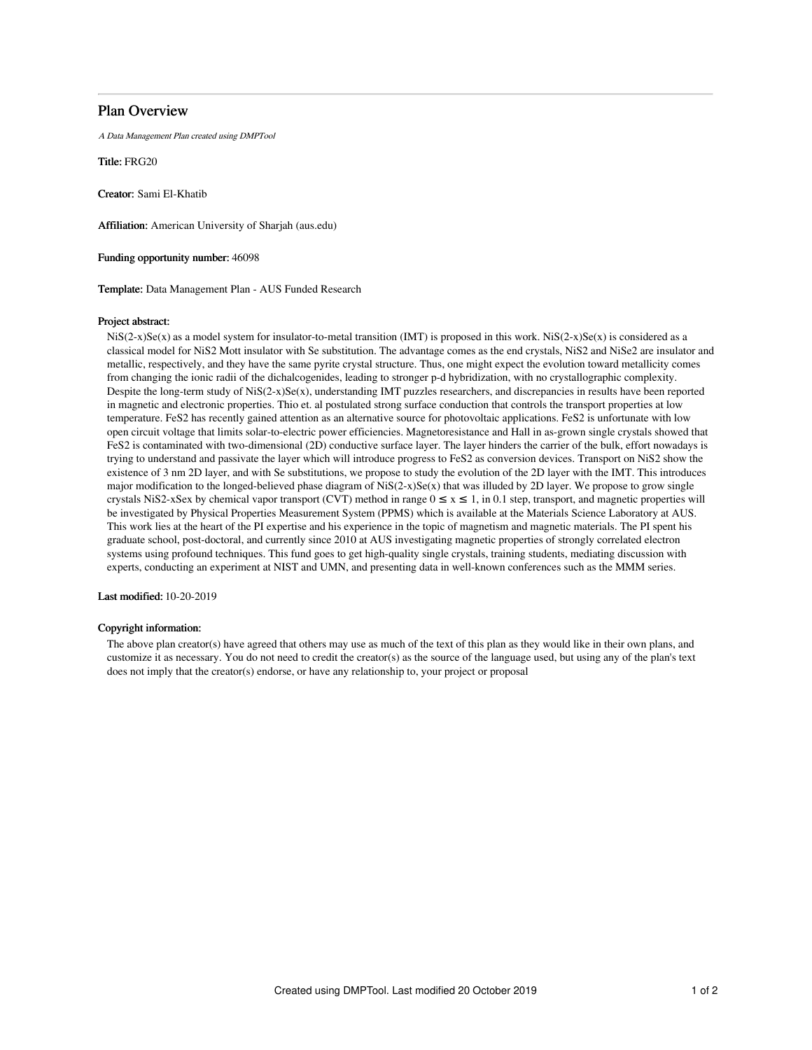## Plan Overview

A Data Management Plan created using DMPTool

Title: FRG20

Creator: Sami El-Khatib

Affiliation: American University of Sharjah (aus.edu)

Funding opportunity number: 46098

Template: Data Management Plan - AUS Funded Research

### Project abstract:

 $NIS(2-x)Se(x)$  as a model system for insulator-to-metal transition (IMT) is proposed in this work.  $NIS(2-x)Se(x)$  is considered as a classical model for NiS2 Mott insulator with Se substitution. The advantage comes as the end crystals, NiS2 and NiSe2 are insulator and metallic, respectively, and they have the same pyrite crystal structure. Thus, one might expect the evolution toward metallicity comes from changing the ionic radii of the dichalcogenides, leading to stronger p-d hybridization, with no crystallographic complexity. Despite the long-term study of  $NIS(2-x)Se(x)$ , understanding IMT puzzles researchers, and discrepancies in results have been reported in magnetic and electronic properties. Thio et. al postulated strong surface conduction that controls the transport properties at low temperature. FeS2 has recently gained attention as an alternative source for photovoltaic applications. FeS2 is unfortunate with low open circuit voltage that limits solar-to-electric power efficiencies. Magnetoresistance and Hall in as-grown single crystals showed that FeS2 is contaminated with two-dimensional (2D) conductive surface layer. The layer hinders the carrier of the bulk, effort nowadays is trying to understand and passivate the layer which will introduce progress to FeS2 as conversion devices. Transport on NiS2 show the existence of 3 nm 2D layer, and with Se substitutions, we propose to study the evolution of the 2D layer with the IMT. This introduces major modification to the longed-believed phase diagram of  $NiS(2-x)Se(x)$  that was illuded by 2D layer. We propose to grow single crystals NiS2-xSex by chemical vapor transport (CVT) method in range  $0 \le x \le 1$ , in 0.1 step, transport, and magnetic properties will be investigated by Physical Properties Measurement System (PPMS) which is available at the Materials Science Laboratory at AUS. This work lies at the heart of the PI expertise and his experience in the topic of magnetism and magnetic materials. The PI spent his graduate school, post-doctoral, and currently since 2010 at AUS investigating magnetic properties of strongly correlated electron systems using profound techniques. This fund goes to get high-quality single crystals, training students, mediating discussion with experts, conducting an experiment at NIST and UMN, and presenting data in well-known conferences such as the MMM series.

Last modified: 10-20-2019

### Copyright information:

The above plan creator(s) have agreed that others may use as much of the text of this plan as they would like in their own plans, and customize it as necessary. You do not need to credit the creator(s) as the source of the language used, but using any of the plan's text does not imply that the creator(s) endorse, or have any relationship to, your project or proposal